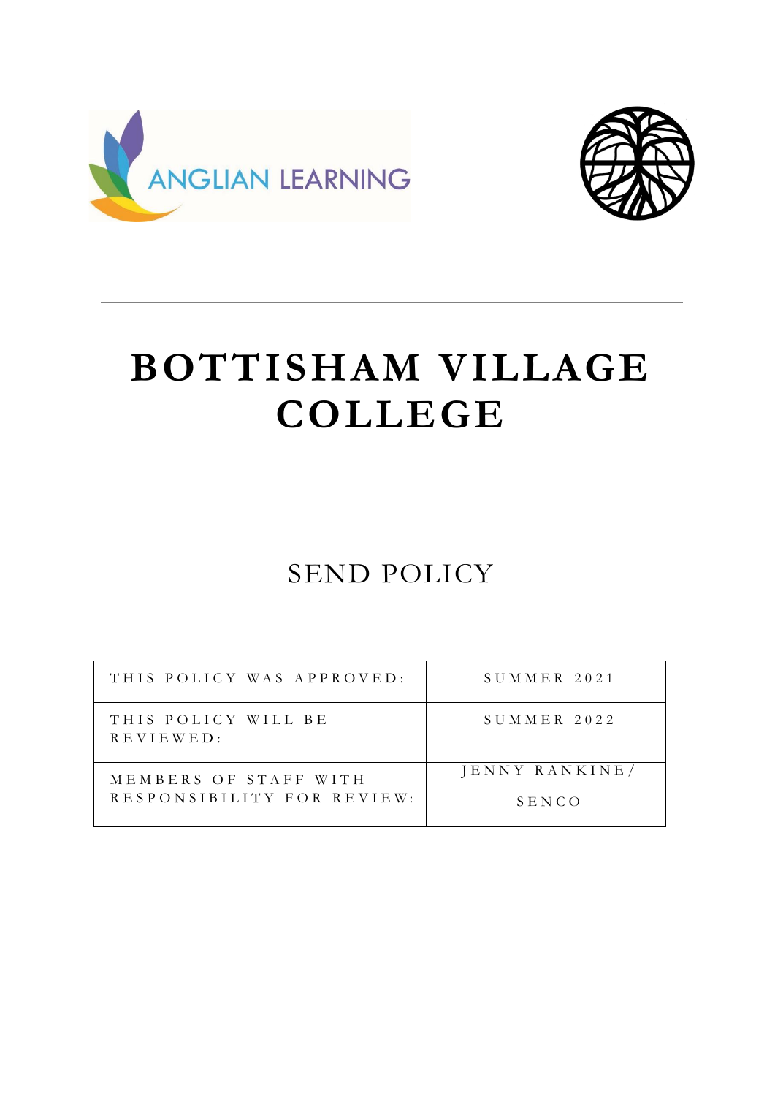



# **BOTTISHAM VILLAGE COLLEGE**

# SEND POLICY

| THIS POLICY WAS APPROVED:                           | $S$ UMMER 2021          |
|-----------------------------------------------------|-------------------------|
| THIS POLICY WILL BE<br>REVIEWED:                    | $S$ UMMER 2022          |
| MEMBERS OF STAFF WITH<br>RESPONSIBILITY FOR REVIEW: | JENNY RANKINE/<br>SENCO |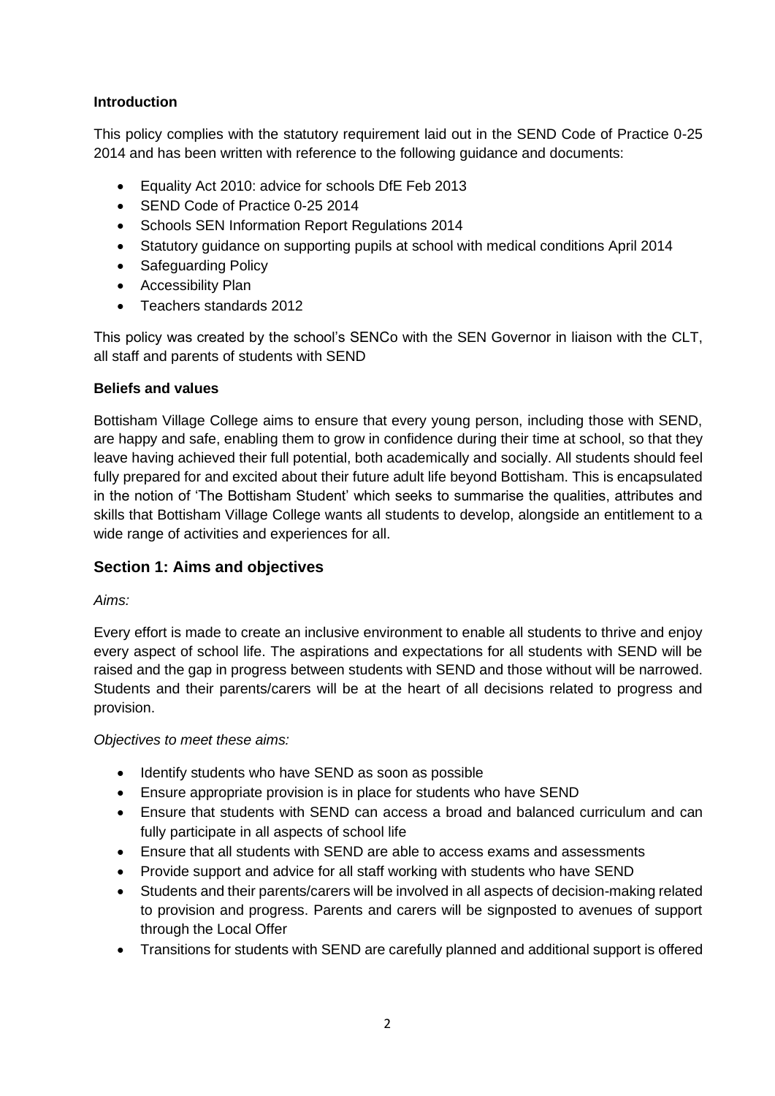# **Introduction**

This policy complies with the statutory requirement laid out in the SEND Code of Practice 0-25 2014 and has been written with reference to the following guidance and documents:

- Equality Act 2010: advice for schools DfE Feb 2013
- SEND Code of Practice 0-25 2014
- Schools SEN Information Report Regulations 2014
- Statutory guidance on supporting pupils at school with medical conditions April 2014
- Safeguarding Policy
- Accessibility Plan
- Teachers standards 2012

This policy was created by the school's SENCo with the SEN Governor in liaison with the CLT, all staff and parents of students with SEND

# **Beliefs and values**

Bottisham Village College aims to ensure that every young person, including those with SEND, are happy and safe, enabling them to grow in confidence during their time at school, so that they leave having achieved their full potential, both academically and socially. All students should feel fully prepared for and excited about their future adult life beyond Bottisham. This is encapsulated in the notion of 'The Bottisham Student' which seeks to summarise the qualities, attributes and skills that Bottisham Village College wants all students to develop, alongside an entitlement to a wide range of activities and experiences for all.

# **Section 1: Aims and objectives**

# *Aims:*

Every effort is made to create an inclusive environment to enable all students to thrive and enjoy every aspect of school life. The aspirations and expectations for all students with SEND will be raised and the gap in progress between students with SEND and those without will be narrowed. Students and their parents/carers will be at the heart of all decisions related to progress and provision.

*Objectives to meet these aims:*

- Identify students who have SEND as soon as possible
- Ensure appropriate provision is in place for students who have SEND
- Ensure that students with SEND can access a broad and balanced curriculum and can fully participate in all aspects of school life
- Ensure that all students with SEND are able to access exams and assessments
- Provide support and advice for all staff working with students who have SEND
- Students and their parents/carers will be involved in all aspects of decision-making related to provision and progress. Parents and carers will be signposted to avenues of support through the Local Offer
- Transitions for students with SEND are carefully planned and additional support is offered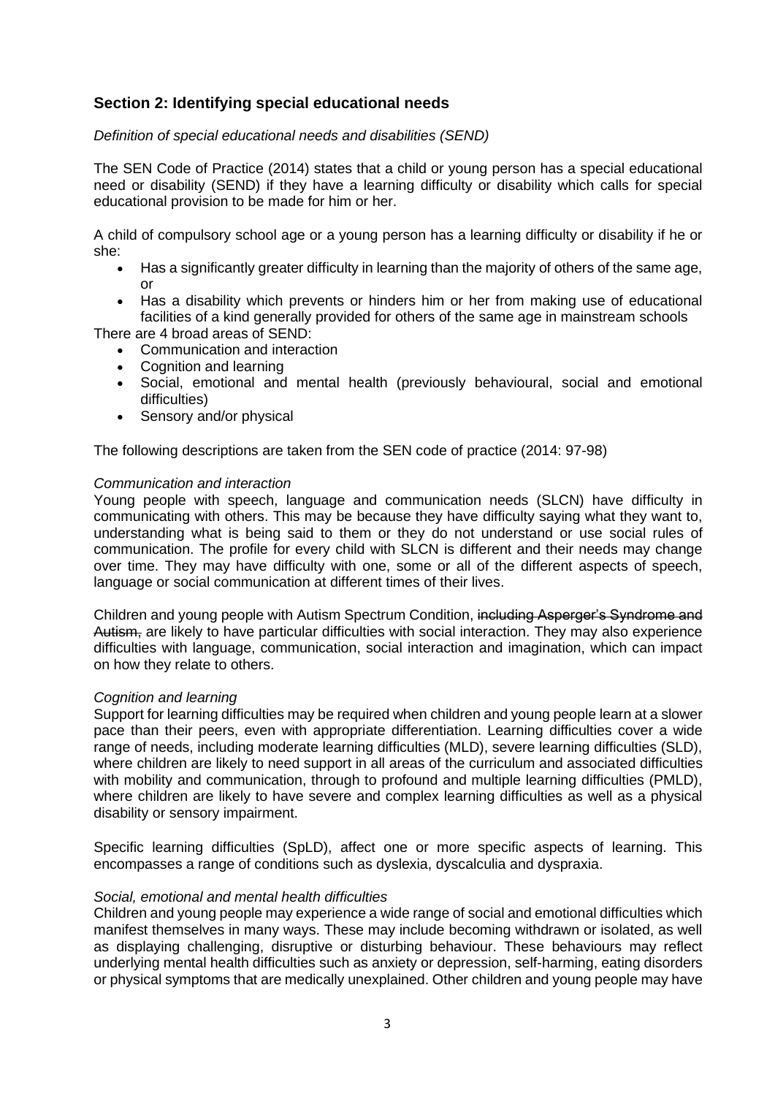# **Section 2: Identifying special educational needs**

#### *Definition of special educational needs and disabilities (SEND)*

The SEN Code of Practice (2014) states that a child or young person has a special educational need or disability (SEND) if they have a learning difficulty or disability which calls for special educational provision to be made for him or her.

A child of compulsory school age or a young person has a learning difficulty or disability if he or she:

- Has a significantly greater difficulty in learning than the majority of others of the same age, or
- Has a disability which prevents or hinders him or her from making use of educational facilities of a kind generally provided for others of the same age in mainstream schools

There are 4 broad areas of SEND:

- Communication and interaction
- Cognition and learning
- Social, emotional and mental health (previously behavioural, social and emotional difficulties)
- Sensory and/or physical

The following descriptions are taken from the SEN code of practice (2014: 97-98)

#### *Communication and interaction*

Young people with speech, language and communication needs (SLCN) have difficulty in communicating with others. This may be because they have difficulty saying what they want to, understanding what is being said to them or they do not understand or use social rules of communication. The profile for every child with SLCN is different and their needs may change over time. They may have difficulty with one, some or all of the different aspects of speech, language or social communication at different times of their lives.

Children and young people with Autism Spectrum Condition, including Asperger's Syndrome and Autism, are likely to have particular difficulties with social interaction. They may also experience difficulties with language, communication, social interaction and imagination, which can impact on how they relate to others.

#### *Cognition and learning*

Support for learning difficulties may be required when children and young people learn at a slower pace than their peers, even with appropriate differentiation. Learning difficulties cover a wide range of needs, including moderate learning difficulties (MLD), severe learning difficulties (SLD), where children are likely to need support in all areas of the curriculum and associated difficulties with mobility and communication, through to profound and multiple learning difficulties (PMLD), where children are likely to have severe and complex learning difficulties as well as a physical disability or sensory impairment.

Specific learning difficulties (SpLD), affect one or more specific aspects of learning. This encompasses a range of conditions such as dyslexia, dyscalculia and dyspraxia.

#### *Social, emotional and mental health difficulties*

Children and young people may experience a wide range of social and emotional difficulties which manifest themselves in many ways. These may include becoming withdrawn or isolated, as well as displaying challenging, disruptive or disturbing behaviour. These behaviours may reflect underlying mental health difficulties such as anxiety or depression, self-harming, eating disorders or physical symptoms that are medically unexplained. Other children and young people may have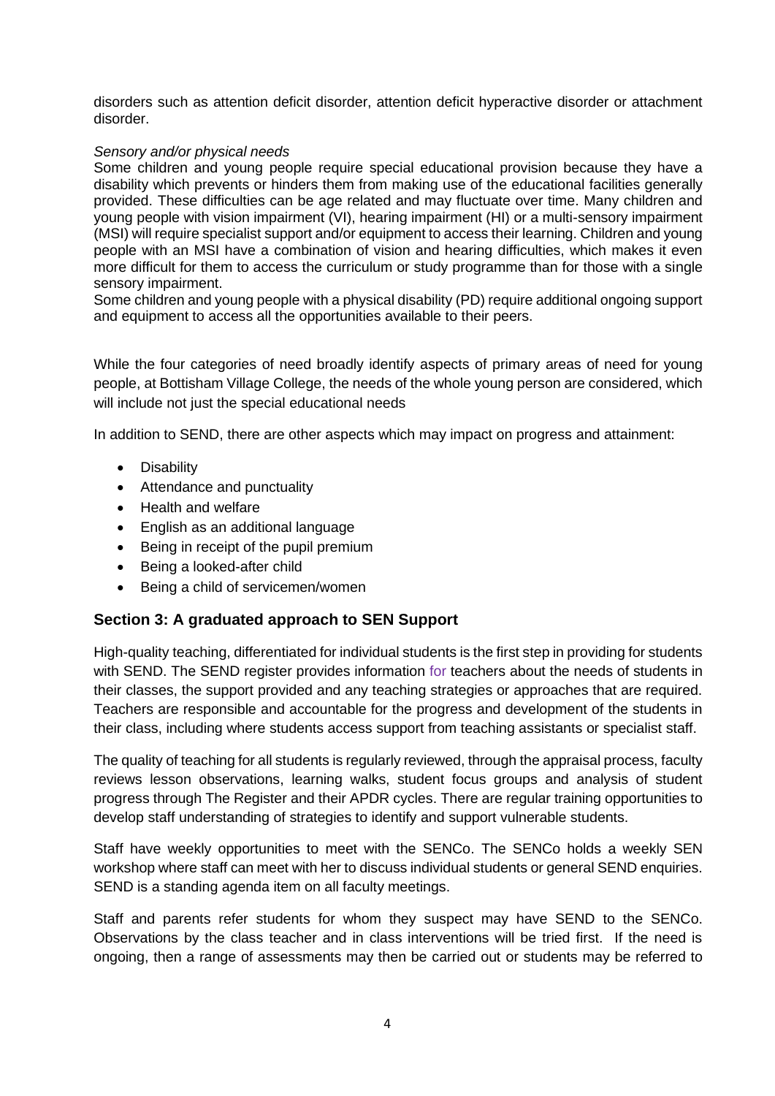disorders such as attention deficit disorder, attention deficit hyperactive disorder or attachment disorder.

#### *Sensory and/or physical needs*

Some children and young people require special educational provision because they have a disability which prevents or hinders them from making use of the educational facilities generally provided. These difficulties can be age related and may fluctuate over time. Many children and young people with vision impairment (VI), hearing impairment (HI) or a multi-sensory impairment (MSI) will require specialist support and/or equipment to access their learning. Children and young people with an MSI have a combination of vision and hearing difficulties, which makes it even more difficult for them to access the curriculum or study programme than for those with a single sensory impairment.

Some children and young people with a physical disability (PD) require additional ongoing support and equipment to access all the opportunities available to their peers.

While the four categories of need broadly identify aspects of primary areas of need for young people, at Bottisham Village College, the needs of the whole young person are considered, which will include not just the special educational needs

In addition to SEND, there are other aspects which may impact on progress and attainment:

- Disability
- Attendance and punctuality
- Health and welfare
- English as an additional language
- Being in receipt of the pupil premium
- Being a looked-after child
- Being a child of servicemen/women

# **Section 3: A graduated approach to SEN Support**

High-quality teaching, differentiated for individual students is the first step in providing for students with SEND. The SEND register provides information for teachers about the needs of students in their classes, the support provided and any teaching strategies or approaches that are required. Teachers are responsible and accountable for the progress and development of the students in their class, including where students access support from teaching assistants or specialist staff.

The quality of teaching for all students is regularly reviewed, through the appraisal process, faculty reviews lesson observations, learning walks, student focus groups and analysis of student progress through The Register and their APDR cycles. There are regular training opportunities to develop staff understanding of strategies to identify and support vulnerable students.

Staff have weekly opportunities to meet with the SENCo. The SENCo holds a weekly SEN workshop where staff can meet with her to discuss individual students or general SEND enquiries. SEND is a standing agenda item on all faculty meetings.

Staff and parents refer students for whom they suspect may have SEND to the SENCo. Observations by the class teacher and in class interventions will be tried first. If the need is ongoing, then a range of assessments may then be carried out or students may be referred to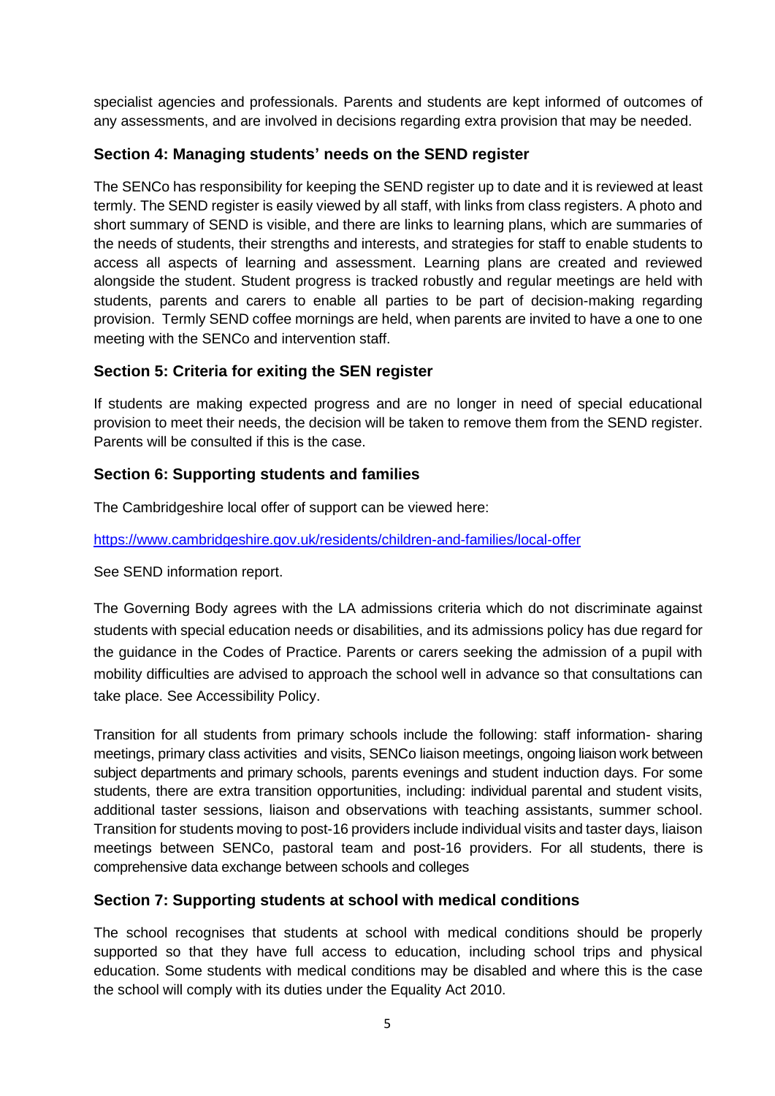specialist agencies and professionals. Parents and students are kept informed of outcomes of any assessments, and are involved in decisions regarding extra provision that may be needed.

# **Section 4: Managing students' needs on the SEND register**

The SENCo has responsibility for keeping the SEND register up to date and it is reviewed at least termly. The SEND register is easily viewed by all staff, with links from class registers. A photo and short summary of SEND is visible, and there are links to learning plans, which are summaries of the needs of students, their strengths and interests, and strategies for staff to enable students to access all aspects of learning and assessment. Learning plans are created and reviewed alongside the student. Student progress is tracked robustly and regular meetings are held with students, parents and carers to enable all parties to be part of decision-making regarding provision. Termly SEND coffee mornings are held, when parents are invited to have a one to one meeting with the SENCo and intervention staff.

# **Section 5: Criteria for exiting the SEN register**

If students are making expected progress and are no longer in need of special educational provision to meet their needs, the decision will be taken to remove them from the SEND register. Parents will be consulted if this is the case.

# **Section 6: Supporting students and families**

The Cambridgeshire local offer of support can be viewed here:

<https://www.cambridgeshire.gov.uk/residents/children-and-families/local-offer>

See SEND information report.

The Governing Body agrees with the LA admissions criteria which do not discriminate against students with special education needs or disabilities, and its admissions policy has due regard for the guidance in the Codes of Practice. Parents or carers seeking the admission of a pupil with mobility difficulties are advised to approach the school well in advance so that consultations can take place. See Accessibility Policy.

Transition for all students from primary schools include the following: staff information- sharing meetings, primary class activities and visits, SENCo liaison meetings, ongoing liaison work between subject departments and primary schools, parents evenings and student induction days. For some students, there are extra transition opportunities, including: individual parental and student visits, additional taster sessions, liaison and observations with teaching assistants, summer school. Transition for students moving to post-16 providers include individual visits and taster days, liaison meetings between SENCo, pastoral team and post-16 providers. For all students, there is comprehensive data exchange between schools and colleges

# **Section 7: Supporting students at school with medical conditions**

The school recognises that students at school with medical conditions should be properly supported so that they have full access to education, including school trips and physical education. Some students with medical conditions may be disabled and where this is the case the school will comply with its duties under the Equality Act 2010.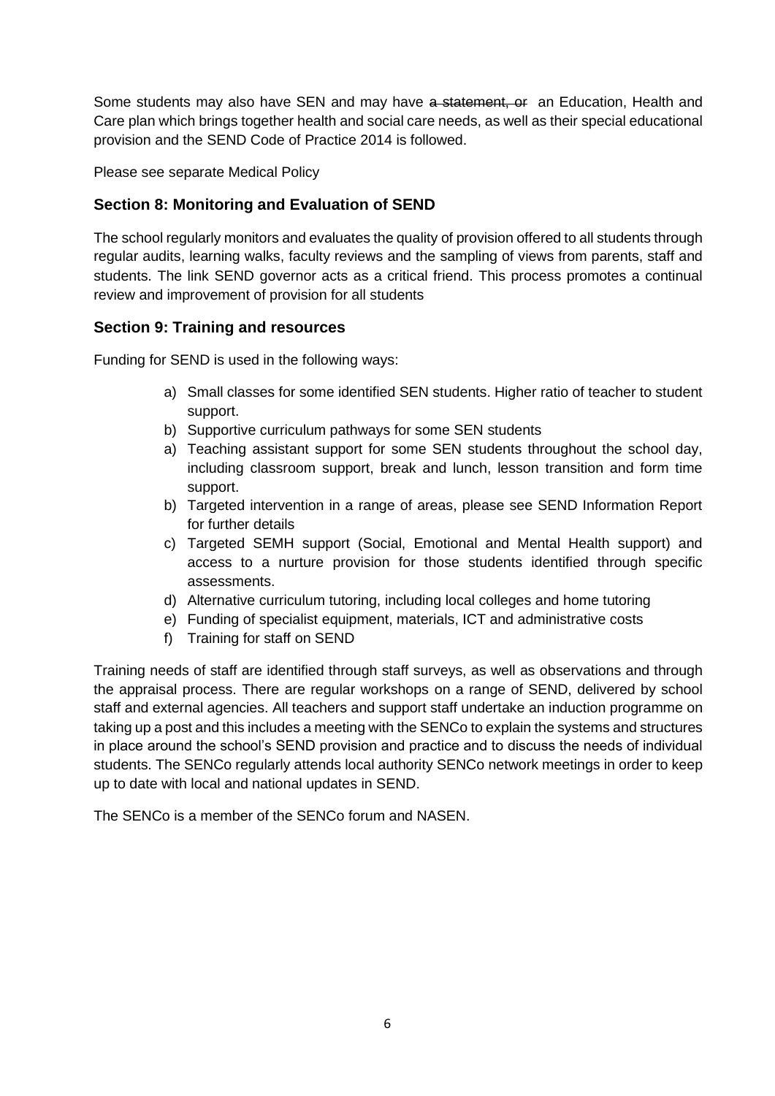Some students may also have SEN and may have a statement, or an Education, Health and Care plan which brings together health and social care needs, as well as their special educational provision and the SEND Code of Practice 2014 is followed.

Please see separate Medical Policy

# **Section 8: Monitoring and Evaluation of SEND**

The school regularly monitors and evaluates the quality of provision offered to all students through regular audits, learning walks, faculty reviews and the sampling of views from parents, staff and students. The link SEND governor acts as a critical friend. This process promotes a continual review and improvement of provision for all students

# **Section 9: Training and resources**

Funding for SEND is used in the following ways:

- a) Small classes for some identified SEN students. Higher ratio of teacher to student support.
- b) Supportive curriculum pathways for some SEN students
- a) Teaching assistant support for some SEN students throughout the school day, including classroom support, break and lunch, lesson transition and form time support.
- b) Targeted intervention in a range of areas, please see SEND Information Report for further details
- c) Targeted SEMH support (Social, Emotional and Mental Health support) and access to a nurture provision for those students identified through specific assessments.
- d) Alternative curriculum tutoring, including local colleges and home tutoring
- e) Funding of specialist equipment, materials, ICT and administrative costs
- f) Training for staff on SEND

Training needs of staff are identified through staff surveys, as well as observations and through the appraisal process. There are regular workshops on a range of SEND, delivered by school staff and external agencies. All teachers and support staff undertake an induction programme on taking up a post and this includes a meeting with the SENCo to explain the systems and structures in place around the school's SEND provision and practice and to discuss the needs of individual students. The SENCo regularly attends local authority SENCo network meetings in order to keep up to date with local and national updates in SEND.

The SENCo is a member of the SENCo forum and NASEN.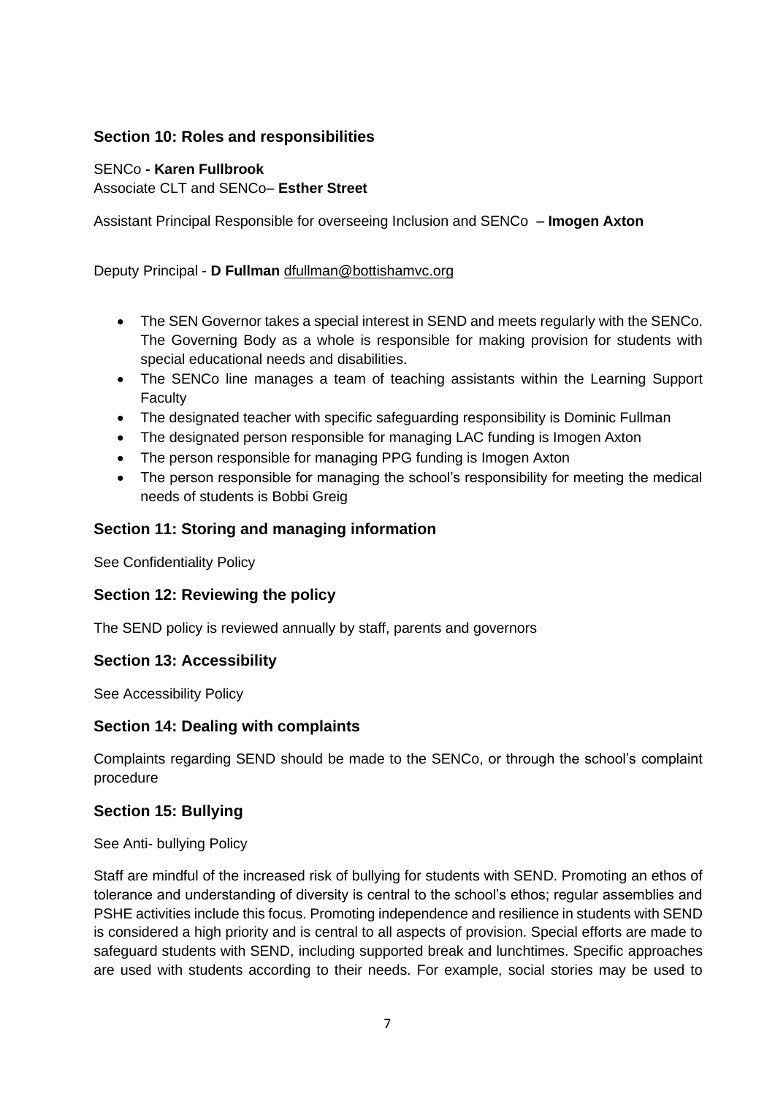# **Section 10: Roles and responsibilities**

# SENCo **- Karen Fullbrook** Associate CLT and SENCo– **Esther Street**

Assistant Principal Responsible for overseeing Inclusion and SENCo – **Imogen Axton**

#### Deputy Principal - **D Fullman** [dfullman@bottishamvc.org](mailto:dfullman@bottishamvc.org)

- The SEN Governor takes a special interest in SEND and meets regularly with the SENCo. The Governing Body as a whole is responsible for making provision for students with special educational needs and disabilities.
- The SENCo line manages a team of teaching assistants within the Learning Support **Faculty**
- The designated teacher with specific safeguarding responsibility is Dominic Fullman
- The designated person responsible for managing LAC funding is Imogen Axton
- The person responsible for managing PPG funding is Imogen Axton
- The person responsible for managing the school's responsibility for meeting the medical needs of students is Bobbi Greig

# **Section 11: Storing and managing information**

See Confidentiality Policy

# **Section 12: Reviewing the policy**

The SEND policy is reviewed annually by staff, parents and governors

# **Section 13: Accessibility**

See Accessibility Policy

# **Section 14: Dealing with complaints**

Complaints regarding SEND should be made to the SENCo, or through the school's complaint procedure

# **Section 15: Bullying**

See Anti- bullying Policy

Staff are mindful of the increased risk of bullying for students with SEND. Promoting an ethos of tolerance and understanding of diversity is central to the school's ethos; regular assemblies and PSHE activities include this focus. Promoting independence and resilience in students with SEND is considered a high priority and is central to all aspects of provision. Special efforts are made to safeguard students with SEND, including supported break and lunchtimes. Specific approaches are used with students according to their needs. For example, social stories may be used to